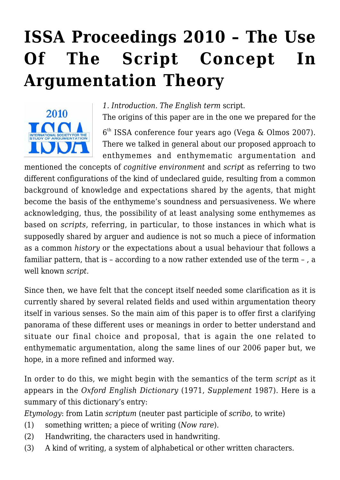# **[ISSA Proceedings 2010 – The Use](https://rozenbergquarterly.com/issa-proceedings-2010-the-use-of-the-script-concept-in-argumentation-theory/) [Of The Script Concept In](https://rozenbergquarterly.com/issa-proceedings-2010-the-use-of-the-script-concept-in-argumentation-theory/) [Argumentation Theory](https://rozenbergquarterly.com/issa-proceedings-2010-the-use-of-the-script-concept-in-argumentation-theory/)**



*1. Introduction. The English term* script*.* The origins of this paper are in the one we prepared for the

6 th ISSA conference four years ago (Vega & Olmos 2007). There we talked in general about our proposed approach to enthymemes and enthymematic argumentation and

mentioned the concepts of *cognitive environment* and *script* as referring to two different configurations of the kind of undeclared guide, resulting from a common background of knowledge and expectations shared by the agents, that might become the basis of the enthymeme's soundness and persuasiveness. We where acknowledging, thus, the possibility of at least analysing some enthymemes as based on *scripts*, referring, in particular, to those instances in which what is supposedly shared by arguer and audience is not so much a piece of information as a common *history* or the expectations about a usual behaviour that follows a familiar pattern, that is – according to a now rather extended use of the term – , a well known *script*.

Since then, we have felt that the concept itself needed some clarification as it is currently shared by several related fields and used within argumentation theory itself in various senses. So the main aim of this paper is to offer first a clarifying panorama of these different uses or meanings in order to better understand and situate our final choice and proposal, that is again the one related to enthymematic argumentation, along the same lines of our 2006 paper but, we hope, in a more refined and informed way.

In order to do this, we might begin with the semantics of the term *script* as it appears in the *Oxford English Dictionary* (1971, *Supplement* 1987). Here is a summary of this dictionary's entry:

*Etymology*: from Latin *scriptum* (neuter past participle of *scribo*, to write)

- (1) something written; a piece of writing (*Now rare*).
- (2) Handwriting, the characters used in handwriting.
- (3) A kind of writing, a system of alphabetical or other written characters.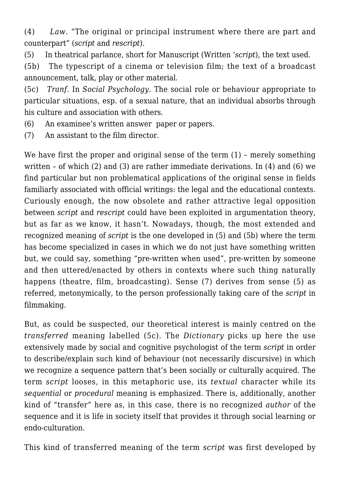(4) *Law.* "The original or principal instrument where there are part and counterpart" (*script* and *rescript*)*.*

(5) In theatrical parlance, short for Manuscript (Written '*script*), the text used.

(5b) The typescript of a cinema or television film; the text of a broadcast announcement, talk, play or other material.

(5c) *Tranf.* In *Social Psychology*. The social role or behaviour appropriate to particular situations, esp. of a sexual nature, that an individual absorbs through his culture and association with others.

- (6) An examinee's written answer paper or papers.
- (7) An assistant to the film director.

We have first the proper and original sense of the term  $(1)$  - merely something written – of which (2) and (3) are rather immediate derivations. In (4) and (6) we find particular but non problematical applications of the original sense in fields familiarly associated with official writings: the legal and the educational contexts. Curiously enough, the now obsolete and rather attractive legal opposition between *script* and *rescript* could have been exploited in argumentation theory, but as far as we know, it hasn't. Nowadays, though, the most extended and recognized meaning of *script* is the one developed in (5) and (5b) where the term has become specialized in cases in which we do not just have something written but, we could say, something "pre-written when used", pre-written by someone and then uttered/enacted by others in contexts where such thing naturally happens (theatre, film, broadcasting). Sense (7) derives from sense (5) as referred, metonymically, to the person professionally taking care of the *script* in filmmaking.

But, as could be suspected, our theoretical interest is mainly centred on the *transferred* meaning labelled (5c). The *Dictionary* picks up here the use extensively made by social and cognitive psychologist of the term *script* in order to describe/explain such kind of behaviour (not necessarily discursive) in which we recognize a sequence pattern that's been socially or culturally acquired. The term *script* looses, in this metaphoric use, its *textual* character while its *sequential* or *procedural* meaning is emphasized. There is, additionally, another kind of "transfer" here as, in this case, there is no recognized *author* of the sequence and it is life in society itself that provides it through social learning or endo-culturation.

This kind of transferred meaning of the term *script* was first developed by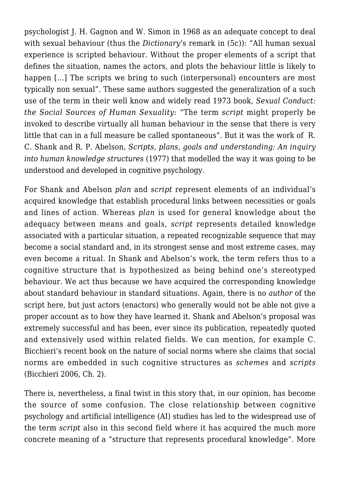psychologist J. H. Gagnon and W. Simon in 1968 as an adequate concept to deal with sexual behaviour (thus the *Dictionary*'s remark in (5c)): "All human sexual experience is scripted behaviour. Without the proper elements of a script that defines the situation, names the actors, and plots the behaviour little is likely to happen [...] The scripts we bring to such (interpersonal) encounters are most typically non sexual". These same authors suggested the generalization of a such use of the term in their well know and widely read 1973 book, *Sexual Conduct: the Social Sources of Human Sexuality*: "The term *script* might properly be invoked to describe virtually all human behaviour in the sense that there is very little that can in a full measure be called spontaneous". But it was the work of R. C. Shank and R. P. Abelson, *Scripts, plans, goals and understanding: An inquiry into human knowledge structures* (1977) that modelled the way it was going to be understood and developed in cognitive psychology.

For Shank and Abelson *plan* and *script* represent elements of an individual's acquired knowledge that establish procedural links between necessities or goals and lines of action. Whereas *plan* is used for general knowledge about the adequacy between means and goals, *script* represents detailed knowledge associated with a particular situation, a repeated recognizable sequence that may become a social standard and, in its strongest sense and most extreme cases, may even become a ritual. In Shank and Abelson's work, the term refers thus to a cognitive structure that is hypothesized as being behind one's stereotyped behaviour. We act thus because we have acquired the corresponding knowledge about standard behaviour in standard situations. Again, there is no *author* of the script here, but just actors (enactors) who generally would not be able not give a proper account as to how they have learned it. Shank and Abelson's proposal was extremely successful and has been, ever since its publication, repeatedly quoted and extensively used within related fields. We can mention, for example C. Bicchieri's recent book on the nature of social norms where she claims that social norms are embedded in such cognitive structures as *schemes* and *scripts* (Bicchieri 2006, Ch. 2).

There is, nevertheless, a final twist in this story that, in our opinion, has become the source of some confusion. The close relationship between cognitive psychology and artificial intelligence (AI) studies has led to the widespread use of the term *script* also in this second field where it has acquired the much more concrete meaning of a "structure that represents procedural knowledge". More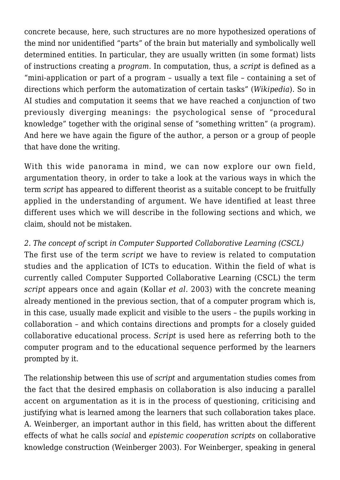concrete because, here, such structures are no more hypothesized operations of the mind nor unidentified "parts" of the brain but materially and symbolically well determined entities. In particular, they are usually written (in some format) lists of instructions creating a *program*. In computation, thus, a *script* is defined as a "mini-application or part of a program – usually a text file – containing a set of directions which perform the automatization of certain tasks" (*Wikipedia*). So in AI studies and computation it seems that we have reached a conjunction of two previously diverging meanings: the psychological sense of "procedural knowledge" together with the original sense of "something written" (a program). And here we have again the figure of the author, a person or a group of people that have done the writing.

With this wide panorama in mind, we can now explore our own field, argumentation theory, in order to take a look at the various ways in which the term *script* has appeared to different theorist as a suitable concept to be fruitfully applied in the understanding of argument. We have identified at least three different uses which we will describe in the following sections and which, we claim, should not be mistaken.

## *2. The concept of* script *in Computer Supported Collaborative Learning (CSCL)*

The first use of the term *script* we have to review is related to computation studies and the application of ICTs to education. Within the field of what is currently called Computer Supported Collaborative Learning (CSCL) the term *script* appears once and again (Kollar *et al.* 2003) with the concrete meaning already mentioned in the previous section, that of a computer program which is, in this case, usually made explicit and visible to the users – the pupils working in collaboration – and which contains directions and prompts for a closely guided collaborative educational process. *Script* is used here as referring both to the computer program and to the educational sequence performed by the learners prompted by it.

The relationship between this use of *script* and argumentation studies comes from the fact that the desired emphasis on collaboration is also inducing a parallel accent on argumentation as it is in the process of questioning, criticising and justifying what is learned among the learners that such collaboration takes place. A. Weinberger, an important author in this field, has written about the different effects of what he calls *social* and *epistemic cooperation scripts* on collaborative knowledge construction (Weinberger 2003). For Weinberger, speaking in general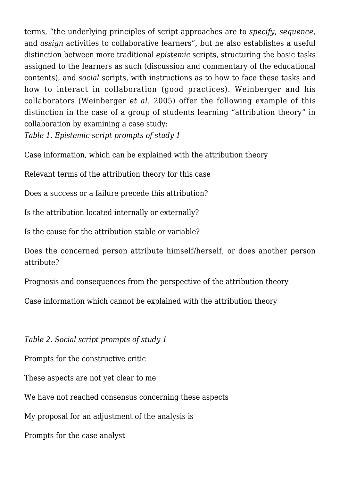terms, "the underlying principles of script approaches are to *specify*, *sequence*, and *assign* activities to collaborative learners", but he also establishes a useful distinction between more traditional *epistemic* scripts, structuring the basic tasks assigned to the learners as such (discussion and commentary of the educational contents), and *social* scripts, with instructions as to how to face these tasks and how to interact in collaboration (good practices). Weinberger and his collaborators (Weinberger *et al.* 2005) offer the following example of this distinction in the case of a group of students learning "attribution theory" in collaboration by examining a case study: *Table 1. Epistemic script prompts of study 1*

Case information, which can be explained with the attribution theory

Relevant terms of the attribution theory for this case

Does a success or a failure precede this attribution?

Is the attribution located internally or externally?

Is the cause for the attribution stable or variable?

Does the concerned person attribute himself/herself, or does another person attribute?

Prognosis and consequences from the perspective of the attribution theory

Case information which cannot be explained with the attribution theory

*Table 2. Social script prompts of study 1*

Prompts for the constructive critic

These aspects are not yet clear to me

We have not reached consensus concerning these aspects

My proposal for an adjustment of the analysis is

Prompts for the case analyst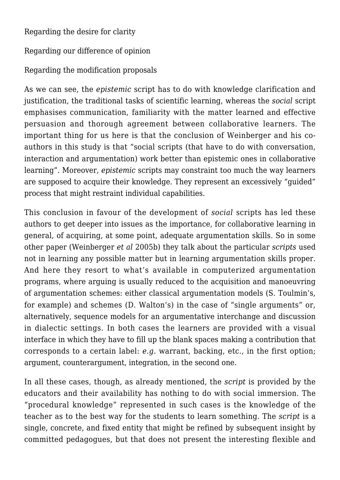Regarding the desire for clarity

#### Regarding our difference of opinion

### Regarding the modification proposals

As we can see, the *epistemic* script has to do with knowledge clarification and justification, the traditional tasks of scientific learning, whereas the *social* script emphasises communication, familiarity with the matter learned and effective persuasion and thorough agreement between collaborative learners. The important thing for us here is that the conclusion of Weinberger and his coauthors in this study is that "social scripts (that have to do with conversation, interaction and argumentation) work better than epistemic ones in collaborative learning". Moreover, *epistemic* scripts may constraint too much the way learners are supposed to acquire their knowledge. They represent an excessively "guided" process that might restraint individual capabilities.

This conclusion in favour of the development of *social* scripts has led these authors to get deeper into issues as the importance, for collaborative learning in general, of acquiring, at some point, adequate argumentation skills. So in some other paper (Weinberger *et al* 2005b) they talk about the particular *scripts* used not in learning any possible matter but in learning argumentation skills proper. And here they resort to what's available in computerized argumentation programs, where arguing is usually reduced to the acquisition and manoeuvring of argumentation schemes: either classical argumentation models (S. Toulmin's, for example) and schemes (D. Walton's) in the case of "single arguments" or, alternatively, sequence models for an argumentative interchange and discussion in dialectic settings. In both cases the learners are provided with a visual interface in which they have to fill up the blank spaces making a contribution that corresponds to a certain label: *e.g.* warrant, backing, etc., in the first option; argument, counterargument, integration, in the second one.

In all these cases, though, as already mentioned, the *script* is provided by the educators and their availability has nothing to do with social immersion. The "procedural knowledge" represented in such cases is the knowledge of the teacher as to the best way for the students to learn something. The *script* is a single, concrete, and fixed entity that might be refined by subsequent insight by committed pedagogues, but that does not present the interesting flexible and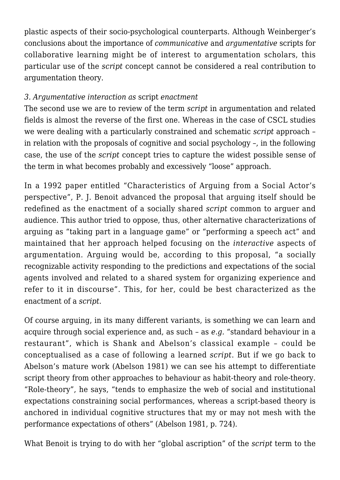plastic aspects of their socio-psychological counterparts. Although Weinberger's conclusions about the importance of *communicative* and *argumentative* scripts for collaborative learning might be of interest to argumentation scholars, this particular use of the *script* concept cannot be considered a real contribution to argumentation theory.

#### *3. Argumentative interaction as* script *enactment*

The second use we are to review of the term *script* in argumentation and related fields is almost the reverse of the first one. Whereas in the case of CSCL studies we were dealing with a particularly constrained and schematic *script* approach – in relation with the proposals of cognitive and social psychology –, in the following case, the use of the *script* concept tries to capture the widest possible sense of the term in what becomes probably and excessively "loose" approach.

In a 1992 paper entitled "Characteristics of Arguing from a Social Actor's perspective", P. J. Benoit advanced the proposal that arguing itself should be redefined as the enactment of a socially shared *script* common to arguer and audience. This author tried to oppose, thus, other alternative characterizations of arguing as "taking part in a language game" or "performing a speech act" and maintained that her approach helped focusing on the *interactive* aspects of argumentation. Arguing would be, according to this proposal, "a socially recognizable activity responding to the predictions and expectations of the social agents involved and related to a shared system for organizing experience and refer to it in discourse". This, for her, could be best characterized as the enactment of a *script*.

Of course arguing, in its many different variants, is something we can learn and acquire through social experience and, as such – as *e.g.* "standard behaviour in a restaurant", which is Shank and Abelson's classical example – could be conceptualised as a case of following a learned *script*. But if we go back to Abelson's mature work (Abelson 1981) we can see his attempt to differentiate script theory from other approaches to behaviour as habit-theory and role-theory. "Role-theory", he says, "tends to emphasize the web of social and institutional expectations constraining social performances, whereas a script-based theory is anchored in individual cognitive structures that my or may not mesh with the performance expectations of others" (Abelson 1981, p. 724).

What Benoit is trying to do with her "global ascription" of the *script* term to the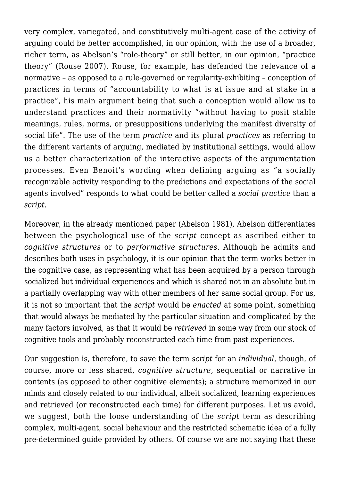very complex, variegated, and constitutively multi-agent case of the activity of arguing could be better accomplished, in our opinion, with the use of a broader, richer term, as Abelson's "role-theory" or still better, in our opinion, "practice theory" (Rouse 2007). Rouse, for example, has defended the relevance of a normative – as opposed to a rule-governed or regularity-exhibiting – conception of practices in terms of "accountability to what is at issue and at stake in a practice", his main argument being that such a conception would allow us to understand practices and their normativity "without having to posit stable meanings, rules, norms, or presuppositions underlying the manifest diversity of social life". The use of the term *practice* and its plural *practices* as referring to the different variants of arguing, mediated by institutional settings, would allow us a better characterization of the interactive aspects of the argumentation processes. Even Benoit's wording when defining arguing as "a socially recognizable activity responding to the predictions and expectations of the social agents involved" responds to what could be better called a *social practice* than a *script*.

Moreover, in the already mentioned paper (Abelson 1981), Abelson differentiates between the psychological use of the *script* concept as ascribed either to *cognitive structures* or to *performative structures*. Although he admits and describes both uses in psychology, it is our opinion that the term works better in the cognitive case, as representing what has been acquired by a person through socialized but individual experiences and which is shared not in an absolute but in a partially overlapping way with other members of her same social group. For us, it is not so important that the *script* would be *enacted* at some point, something that would always be mediated by the particular situation and complicated by the many factors involved, as that it would be *retrieved* in some way from our stock of cognitive tools and probably reconstructed each time from past experiences.

Our suggestion is, therefore, to save the term *script* for an *individual*, though, of course, more or less shared, *cognitive structure*, sequential or narrative in contents (as opposed to other cognitive elements); a structure memorized in our minds and closely related to our individual, albeit socialized, learning experiences and retrieved (or reconstructed each time) for different purposes. Let us avoid, we suggest, both the loose understanding of the *script* term as describing complex, multi-agent, social behaviour and the restricted schematic idea of a fully pre-determined guide provided by others. Of course we are not saying that these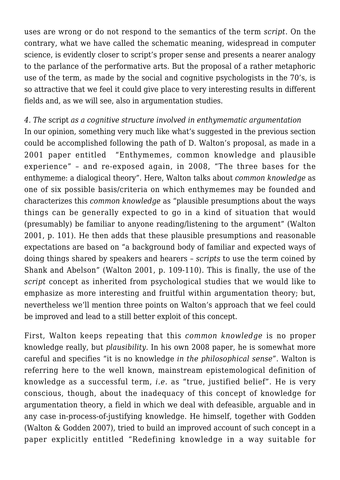uses are wrong or do not respond to the semantics of the term *script*. On the contrary, what we have called the schematic meaning, widespread in computer science, is evidently closer to script's proper sense and presents a nearer analogy to the parlance of the performative arts. But the proposal of a rather metaphoric use of the term, as made by the social and cognitive psychologists in the 70's, is so attractive that we feel it could give place to very interesting results in different fields and, as we will see, also in argumentation studies.

#### *4. The* script *as a cognitive structure involved in enthymematic argumentation*

In our opinion, something very much like what's suggested in the previous section could be accomplished following the path of D. Walton's proposal, as made in a 2001 paper entitled "Enthymemes, common knowledge and plausible experience" – and re-exposed again, in 2008, "The three bases for the enthymeme: a dialogical theory". Here, Walton talks about *common knowledge* as one of six possible basis/criteria on which enthymemes may be founded and characterizes this *common knowledge* as "plausible presumptions about the ways things can be generally expected to go in a kind of situation that would (presumably) be familiar to anyone reading/listening to the argument" (Walton 2001, p. 101). He then adds that these plausible presumptions and reasonable expectations are based on "a background body of familiar and expected ways of doing things shared by speakers and hearers – *scripts* to use the term coined by Shank and Abelson" (Walton 2001, p. 109-110). This is finally, the use of the *script* concept as inherited from psychological studies that we would like to emphasize as more interesting and fruitful within argumentation theory; but, nevertheless we'll mention three points on Walton's approach that we feel could be improved and lead to a still better exploit of this concept.

First, Walton keeps repeating that this *common knowledge* is no proper knowledge really, but *plausibility*. In his own 2008 paper, he is somewhat more careful and specifies "it is no knowledge *in the philosophical sense*". Walton is referring here to the well known, mainstream epistemological definition of knowledge as a successful term, *i.e.* as "true, justified belief". He is very conscious, though, about the inadequacy of this concept of knowledge for argumentation theory, a field in which we deal with defeasible, arguable and in any case in-process-of-justifying knowledge. He himself, together with Godden (Walton & Godden 2007), tried to build an improved account of such concept in a paper explicitly entitled "Redefining knowledge in a way suitable for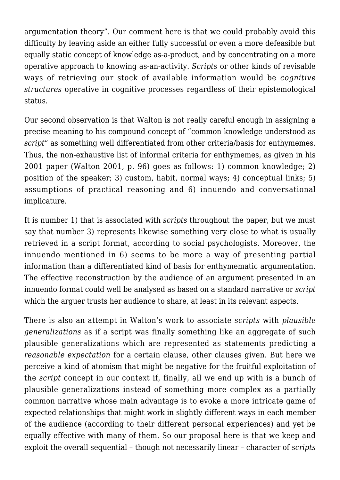argumentation theory". Our comment here is that we could probably avoid this difficulty by leaving aside an either fully successful or even a more defeasible but equally static concept of knowledge as-a-product, and by concentrating on a more operative approach to knowing as-an-activity. *Scripts* or other kinds of revisable ways of retrieving our stock of available information would be *cognitive structures* operative in cognitive processes regardless of their epistemological status.

Our second observation is that Walton is not really careful enough in assigning a precise meaning to his compound concept of "common knowledge understood as *script*" as something well differentiated from other criteria/basis for enthymemes. Thus, the non-exhaustive list of informal criteria for enthymemes, as given in his 2001 paper (Walton 2001, p. 96) goes as follows: 1) common knowledge; 2) position of the speaker; 3) custom, habit, normal ways; 4) conceptual links; 5) assumptions of practical reasoning and 6) innuendo and conversational implicature.

It is number 1) that is associated with *scripts* throughout the paper, but we must say that number 3) represents likewise something very close to what is usually retrieved in a script format, according to social psychologists. Moreover, the innuendo mentioned in 6) seems to be more a way of presenting partial information than a differentiated kind of basis for enthymematic argumentation. The effective reconstruction by the audience of an argument presented in an innuendo format could well be analysed as based on a standard narrative or *script* which the arguer trusts her audience to share, at least in its relevant aspects.

There is also an attempt in Walton's work to associate *scripts* with *plausible generalizations* as if a script was finally something like an aggregate of such plausible generalizations which are represented as statements predicting a *reasonable expectation* for a certain clause, other clauses given. But here we perceive a kind of atomism that might be negative for the fruitful exploitation of the *script* concept in our context if, finally, all we end up with is a bunch of plausible generalizations instead of something more complex as a partially common narrative whose main advantage is to evoke a more intricate game of expected relationships that might work in slightly different ways in each member of the audience (according to their different personal experiences) and yet be equally effective with many of them. So our proposal here is that we keep and exploit the overall sequential – though not necessarily linear – character of *scripts*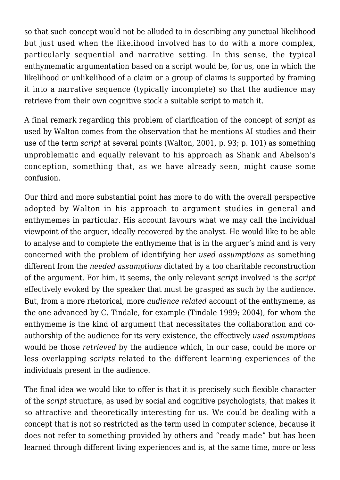so that such concept would not be alluded to in describing any punctual likelihood but just used when the likelihood involved has to do with a more complex, particularly sequential and narrative setting. In this sense, the typical enthymematic argumentation based on a script would be, for us, one in which the likelihood or unlikelihood of a claim or a group of claims is supported by framing it into a narrative sequence (typically incomplete) so that the audience may retrieve from their own cognitive stock a suitable script to match it.

A final remark regarding this problem of clarification of the concept of *script* as used by Walton comes from the observation that he mentions AI studies and their use of the term *script* at several points (Walton, 2001, p. 93; p. 101) as something unproblematic and equally relevant to his approach as Shank and Abelson's conception, something that, as we have already seen, might cause some confusion.

Our third and more substantial point has more to do with the overall perspective adopted by Walton in his approach to argument studies in general and enthymemes in particular. His account favours what we may call the individual viewpoint of the arguer, ideally recovered by the analyst. He would like to be able to analyse and to complete the enthymeme that is in the arguer's mind and is very concerned with the problem of identifying her *used assumptions* as something different from the *needed assumptions* dictated by a too charitable reconstruction of the argument. For him, it seems, the only relevant *script* involved is the *script* effectively evoked by the speaker that must be grasped as such by the audience. But, from a more rhetorical, more *audience related* account of the enthymeme, as the one advanced by C. Tindale, for example (Tindale 1999; 2004), for whom the enthymeme is the kind of argument that necessitates the collaboration and coauthorship of the audience for its very existence, the effectively *used assumptions* would be those *retrieved* by the audience which, in our case, could be more or less overlapping *scripts* related to the different learning experiences of the individuals present in the audience.

The final idea we would like to offer is that it is precisely such flexible character of the *script* structure, as used by social and cognitive psychologists, that makes it so attractive and theoretically interesting for us. We could be dealing with a concept that is not so restricted as the term used in computer science, because it does not refer to something provided by others and "ready made" but has been learned through different living experiences and is, at the same time, more or less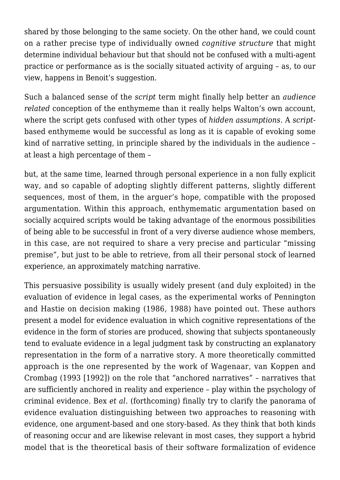shared by those belonging to the same society. On the other hand, we could count on a rather precise type of individually owned *cognitive structure* that might determine individual behaviour but that should not be confused with a multi-agent practice or performance as is the socially situated activity of arguing – as, to our view, happens in Benoit's suggestion.

Such a balanced sense of the *script* term might finally help better an *audience related* conception of the enthymeme than it really helps Walton's own account, where the script gets confused with other types of *hidden assumptions*. A *script*based enthymeme would be successful as long as it is capable of evoking some kind of narrative setting, in principle shared by the individuals in the audience – at least a high percentage of them –

but, at the same time, learned through personal experience in a non fully explicit way, and so capable of adopting slightly different patterns, slightly different sequences, most of them, in the arguer's hope, compatible with the proposed argumentation. Within this approach, enthymematic argumentation based on socially acquired scripts would be taking advantage of the enormous possibilities of being able to be successful in front of a very diverse audience whose members, in this case, are not required to share a very precise and particular "missing premise", but just to be able to retrieve, from all their personal stock of learned experience, an approximately matching narrative.

This persuasive possibility is usually widely present (and duly exploited) in the evaluation of evidence in legal cases, as the experimental works of Pennington and Hastie on decision making (1986, 1988) have pointed out. These authors present a model for evidence evaluation in which cognitive representations of the evidence in the form of stories are produced, showing that subjects spontaneously tend to evaluate evidence in a legal judgment task by constructing an explanatory representation in the form of a narrative story. A more theoretically committed approach is the one represented by the work of Wagenaar, van Koppen and Crombag (1993 [1992]) on the role that "anchored narratives" – narratives that are sufficiently anchored in reality and experience – play within the psychology of criminal evidence. Bex *et al.* (forthcoming) finally try to clarify the panorama of evidence evaluation distinguishing between two approaches to reasoning with evidence, one argument-based and one story-based. As they think that both kinds of reasoning occur and are likewise relevant in most cases, they support a hybrid model that is the theoretical basis of their software formalization of evidence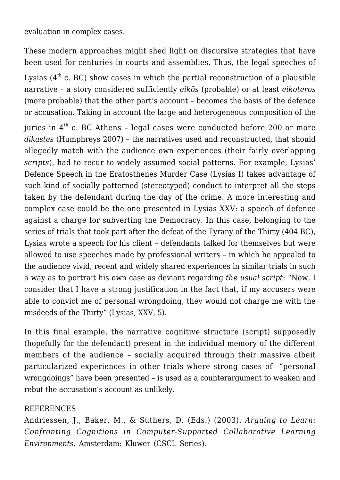evaluation in complex cases.

These modern approaches might shed light on discursive strategies that have been used for centuries in courts and assemblies. Thus, the legal speeches of

Lysias  $(4<sup>th</sup>$  c. BC) show cases in which the partial reconstruction of a plausible narrative – a story considered sufficiently *eikōs* (probable) or at least *eikoteros* (more probable) that the other part's account – becomes the basis of the defence or accusation. Taking in account the large and heterogeneous composition of the

juries in  $4<sup>th</sup>$  c. BC Athens - legal cases were conducted before 200 or more *dikastes* (Humphreys 2007) – the narratives used and reconstructed, that should allegedly match with the audience own experiences (their fairly overlapping *scripts*), had to recur to widely assumed social patterns. For example, Lysias' Defence Speech in the Eratosthenes Murder Case (Lysias I) takes advantage of such kind of socially patterned (stereotyped) conduct to interpret all the steps taken by the defendant during the day of the crime. A more interesting and complex case could be the one presented in Lysias XXV: a speech of defence against a charge for subverting the Democracy. In this case, belonging to the series of trials that took part after the defeat of the Tyrany of the Thirty (404 BC), Lysias wrote a speech for his client – defendants talked for themselves but were allowed to use speeches made by professional writers – in which he appealed to the audience vivid, recent and widely shared experiences in similar trials in such a way as to portrait his own case as deviant regarding *the usual script*: "Now, I consider that I have a strong justification in the fact that, if my accusers were able to convict me of personal wrongdoing, they would not charge me with the misdeeds of the Thirty" (Lysias, XXV, 5).

In this final example, the narrative cognitive structure (script) supposedly (hopefully for the defendant) present in the individual memory of the different members of the audience – socially acquired through their massive albeit particularized experiences in other trials where strong cases of "personal wrongdoings" have been presented – is used as a counterargument to weaken and rebut the accusation's account as unlikely.

#### **REFERENCES**

Andriessen, J., Baker, M., & Suthers, D. (Eds.) (2003). *Arguing to Learn: Confronting Cognitions in Computer-Supported Collaborative Learning Environments*. Amsterdam: Kluwer (CSCL Series).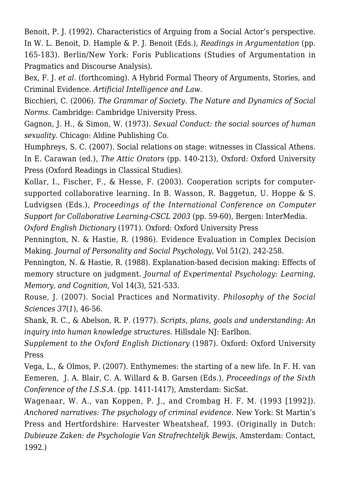Benoit, P. J. (1992). Characteristics of Arguing from a Social Actor's perspective. In W. L. Benoit, D. Hample & P. J. Benoit (Eds.), *Readings in Argumentation* (pp. 165-183). Berlin/New York: Foris Publications (Studies of Argumentation in Pragmatics and Discourse Analysis).

Bex, F. J. *et al.* (forthcoming). A Hybrid Formal Theory of Arguments, Stories, and Criminal Evidence. *Artificial Intelligence and Law*.

Bicchieri, C. (2006). *The Grammar of Society. The Nature and Dynamics of Social Norms*. Cambridge: Cambridge University Press.

Gagnon, J. H., & Simon, W. (1973). *Sexual Conduct: the social sources of human sexuality*. Chicago: Aldine Publishing Co.

Humphreys, S. C. (2007). Social relations on stage: witnesses in Classical Athens. In E. Carawan (ed.), *The Attic Orators* (pp. 140-213), Oxford: Oxford University Press (Oxford Readings in Classical Studies).

Kollar, I., Fischer, F., & Hesse, F. (2003). Cooperation scripts for computersupported collaborative learning. In B. Wasson, R. Baggetun, U. Hoppe & S. Ludvigsen (Eds.), *Proceedings of the International Conference on Computer Support for Collaborative Learning-CSCL 2003* (pp. 59-60), Bergen: InterMedia.

*Oxford English Dictionary* (1971). Oxford: Oxford University Press

Pennington, N. & Hastie, R. (1986). Evidence Evaluation in Complex Decision Making. *Journal of Personality and Social Psychology*, Vol 51(2), 242-258.

Pennington, N. & Hastie, R. (1988). Explanation-based decision making: Effects of memory structure on judgment. *Journal of Experimental Psychology: Learning, Memory, and Cognition*, Vol 14(3), 521-533.

Rouse, J. (2007). Social Practices and Normativity. *Philosophy of the Social Sciences 37*(*1*), 46-56.

Shank, R. C., & Abelson, R. P. (1977). *Scripts, plans, goals and understanding: An inquiry into human knowledge structures*. Hillsdale NJ: Earlbon.

*Supplement to the Oxford English Dictionary* (1987). Oxford: Oxford University Press

Vega, L., & Olmos, P. (2007). Enthymemes: the starting of a new life. In F. H. van Eemeren, J. A. Blair, C. A. Willard & B. Garsen (Eds.), *Proceedings of the Sixth Conference of the I.S.S.A.* (pp. 1411-1417), Amsterdam: SicSat.

Wagenaar, W. A., van Koppen, P. J., and Crombag H. F. M. (1993 [1992]). *Anchored narratives: The psychology of criminal evidence*. New York: St Martin's Press and Hertfordshire: Harvester Wheatsheaf, 1993. (Originally in Dutch: *Dubieuze Zaken: de Psychologie Van Strafrechtelijk Bewijs*, Amsterdam: Contact, 1992.)